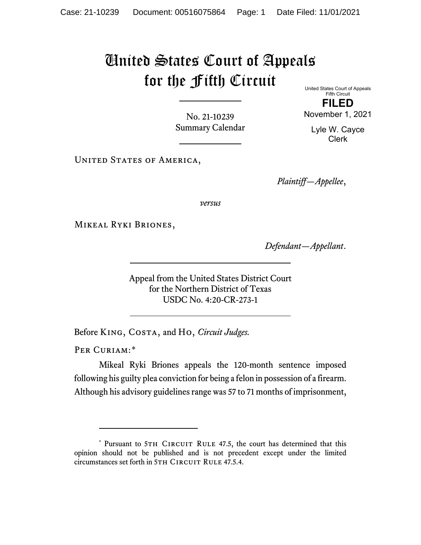## United States Court of Appeals for the Fifth Circuit United States Court of Appeals

No. 21-10239 Summary Calendar

**FILED** November 1, 2021

> Lyle W. Cayce Clerk

Fifth Circuit

UNITED STATES OF AMERICA,

*Plaintiff—Appellee*,

*versus*

Mikeal Ryki Briones,

*Defendant—Appellant*.

Appeal from the United States District Court for the Northern District of Texas USDC No. 4:20-CR-273-1

Before King, Costa, and Ho, *Circuit Judges.*

PER CURIAM:[\\*](#page-0-0)

Mikeal Ryki Briones appeals the 120-month sentence imposed following his guilty plea conviction for being a felon in possession of a firearm. Although his advisory guidelines range was 57 to 71 months of imprisonment,

<span id="page-0-0"></span><sup>\*</sup> Pursuant to 5TH CIRCUIT RULE 47.5, the court has determined that this opinion should not be published and is not precedent except under the limited circumstances set forth in 5TH CIRCUIT RULE 47.5.4.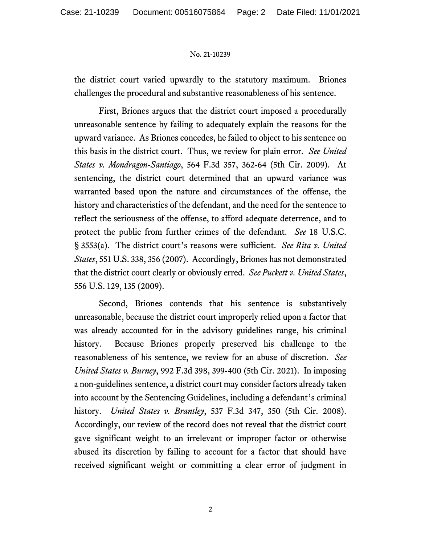## No. 21-10239

the district court varied upwardly to the statutory maximum. Briones challenges the procedural and substantive reasonableness of his sentence.

First, Briones argues that the district court imposed a procedurally unreasonable sentence by failing to adequately explain the reasons for the upward variance. As Briones concedes, he failed to object to his sentence on this basis in the district court. Thus, we review for plain error. *See United States v. Mondragon-Santiago*, 564 F.3d 357, 362-64 (5th Cir. 2009). At sentencing, the district court determined that an upward variance was warranted based upon the nature and circumstances of the offense, the history and characteristics of the defendant, and the need for the sentence to reflect the seriousness of the offense, to afford adequate deterrence, and to protect the public from further crimes of the defendant. *See* 18 U.S.C. § 3553(a). The district court's reasons were sufficient. *See Rita v. United States*, 551 U.S. 338, 356 (2007). Accordingly, Briones has not demonstrated that the district court clearly or obviously erred. *See Puckett v. United States*, 556 U.S. 129, 135 (2009).

Second, Briones contends that his sentence is substantively unreasonable, because the district court improperly relied upon a factor that was already accounted for in the advisory guidelines range, his criminal history. Because Briones properly preserved his challenge to the reasonableness of his sentence, we review for an abuse of discretion. *See United States v. Burney*, 992 F.3d 398, 399-400 (5th Cir. 2021). In imposing a non-guidelines sentence, a district court may consider factors already taken into account by the Sentencing Guidelines, including a defendant's criminal history. *United States v. Brantley*, 537 F.3d 347, 350 (5th Cir. 2008). Accordingly, our review of the record does not reveal that the district court gave significant weight to an irrelevant or improper factor or otherwise abused its discretion by failing to account for a factor that should have received significant weight or committing a clear error of judgment in